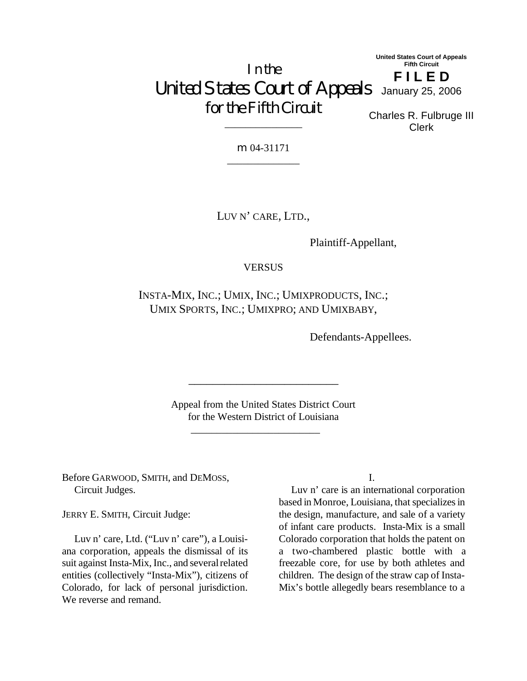In the United States Court of Appeals January 25, 2006 for the Fifth Circuit **United States Court of Appeals Fifth Circuit F I L E D**

Charles R. Fulbruge III Clerk

m 04-31171 \_\_\_\_\_\_\_\_\_\_\_\_\_\_

\_\_\_\_\_\_\_\_\_\_\_\_\_\_\_

LUV N' CARE, LTD.,

Plaintiff-Appellant,

**VERSUS** 

INSTA-MIX, INC.; UMIX, INC.; UMIXPRODUCTS, INC.; UMIX SPORTS, INC.; UMIXPRO; AND UMIXBABY,

Defendants-Appellees.

Appeal from the United States District Court for the Western District of Louisiana

\_\_\_\_\_\_\_\_\_\_\_\_\_\_\_\_\_\_\_\_\_\_\_\_\_

Before GARWOOD, SMITH, and DEMOSS, Circuit Judges.

 $\frac{1}{2}$  , and the set of the set of the set of the set of the set of the set of the set of the set of the set of the set of the set of the set of the set of the set of the set of the set of the set of the set of the set

JERRY E. SMITH, Circuit Judge:

Luv n' care, Ltd. ("Luv n' care"), a Louisiana corporation, appeals the dismissal of its suit against Insta-Mix, Inc., and several related entities (collectively "Insta-Mix"), citizens of Colorado, for lack of personal jurisdiction. We reverse and remand.

I.

Luv n' care is an international corporation based in Monroe, Louisiana, that specializes in the design, manufacture, and sale of a variety of infant care products. Insta-Mix is a small Colorado corporation that holds the patent on a two-chambered plastic bottle with a freezable core, for use by both athletes and children. The design of the straw cap of Insta-Mix's bottle allegedly bears resemblance to a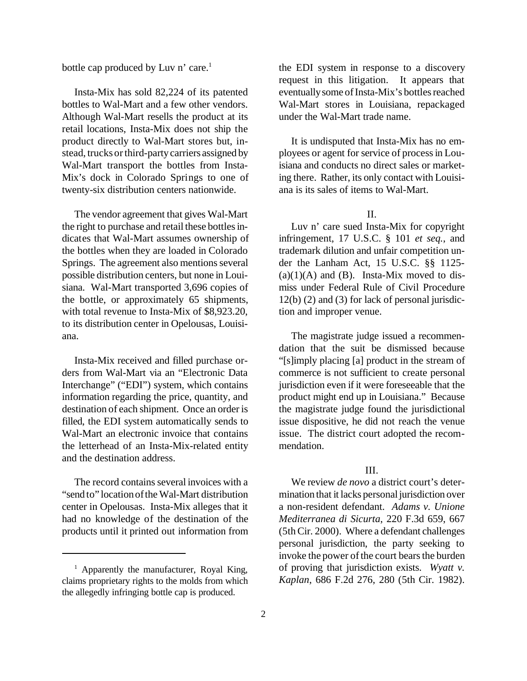bottle cap produced by Luv n' care.<sup>1</sup>

Insta-Mix has sold 82,224 of its patented bottles to Wal-Mart and a few other vendors. Although Wal-Mart resells the product at its retail locations, Insta-Mix does not ship the product directly to Wal-Mart stores but, instead, trucks orthird-partycarriers assigned by Wal-Mart transport the bottles from Insta-Mix's dock in Colorado Springs to one of twenty-six distribution centers nationwide.

The vendor agreement that gives Wal-Mart the right to purchase and retail these bottles indicates that Wal-Mart assumes ownership of the bottles when they are loaded in Colorado Springs. The agreement also mentions several possible distribution centers, but none in Louisiana. Wal-Mart transported 3,696 copies of the bottle, or approximately 65 shipments, with total revenue to Insta-Mix of \$8,923,20, to its distribution center in Opelousas, Louisiana.

Insta-Mix received and filled purchase orders from Wal-Mart via an "Electronic Data Interchange" ("EDI") system, which contains information regarding the price, quantity, and destination of each shipment. Once an order is filled, the EDI system automatically sends to Wal-Mart an electronic invoice that contains the letterhead of an Insta-Mix-related entity and the destination address.

The record contains several invoices with a "send to" locationoftheWal-Mart distribution center in Opelousas. Insta-Mix alleges that it had no knowledge of the destination of the products until it printed out information from the EDI system in response to a discovery request in this litigation. It appears that eventually some of Insta-Mix's bottles reached Wal-Mart stores in Louisiana, repackaged under the Wal-Mart trade name.

It is undisputed that Insta-Mix has no employees or agent for service of processin Louisiana and conducts no direct sales or marketing there. Rather, its only contact with Louisiana is its sales of items to Wal-Mart.

 $II$ .

Luv n' care sued Insta-Mix for copyright infringement, 17 U.S.C. § 101 *et seq.*, and trademark dilution and unfair competition under the Lanham Act, 15 U.S.C. §§ 1125-  $(a)(1)(A)$  and  $(B)$ . Insta-Mix moved to dismiss under Federal Rule of Civil Procedure 12(b) (2) and (3) for lack of personal jurisdiction and improper venue.

The magistrate judge issued a recommendation that the suit be dismissed because "[s]imply placing [a] product in the stream of commerce is not sufficient to create personal jurisdiction even if it were foreseeable that the product might end up in Louisiana." Because the magistrate judge found the jurisdictional issue dispositive, he did not reach the venue issue. The district court adopted the recommendation.

## III.

We review *de novo* a district court's determination that it lacks personal jurisdiction over a non-resident defendant. *Adams v. Unione Mediterranea di Sicurta*, 220 F.3d 659, 667 (5thCir. 2000). Where a defendant challenges personal jurisdiction, the party seeking to invoke the power of the court bears the burden of proving that jurisdiction exists. *Wyatt v. Kaplan*, 686 F.2d 276, 280 (5th Cir. 1982).

 $1$  Apparently the manufacturer, Royal King, claims proprietary rights to the molds from which the allegedly infringing bottle cap is produced.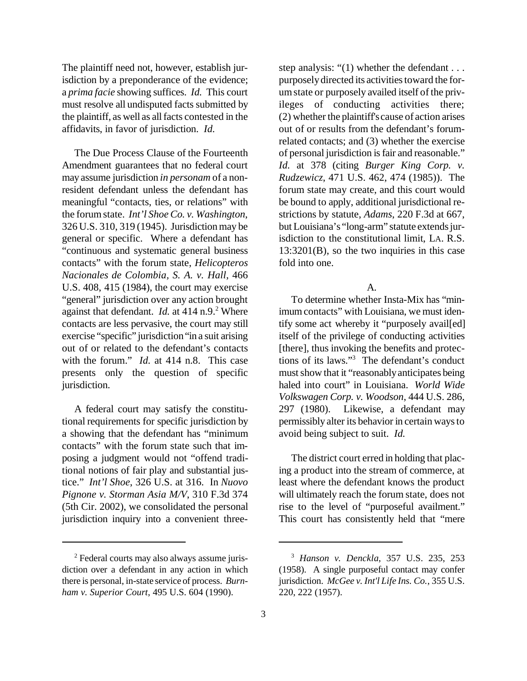The plaintiff need not, however, establish jurisdiction by a preponderance of the evidence; a *prima facie* showing suffices. *Id.* This court must resolve all undisputed facts submitted by the plaintiff, as well as allfacts contested in the affidavits, in favor of jurisdiction. *Id.*

The Due Process Clause of the Fourteenth Amendment guarantees that no federal court may assume jurisdiction *in personam* of a nonresident defendant unless the defendant has meaningful "contacts, ties, or relations" with the forumstate. *Int'l Shoe Co. v. Washington*, 326 U.S. 310, 319 (1945). Jurisdiction may be general or specific. Where a defendant has "continuous and systematic general business contacts" with the forum state, *Helicopteros Nacionales de Colombia, S. A. v. Hall*, 466 U.S. 408, 415 (1984), the court may exercise "general" jurisdiction over any action brought against that defendant. *Id.* at 414 n.9.<sup>2</sup> Where contacts are less pervasive, the court may still exercise "specific" jurisdiction"in a suit arising out of or related to the defendant's contacts with the forum." *Id.* at 414 n.8. This case presents only the question of specific jurisdiction.

A federal court may satisfy the constitutional requirements for specific jurisdiction by a showing that the defendant has "minimum contacts" with the forum state such that imposing a judgment would not "offend traditional notions of fair play and substantial justice." *Int'l Shoe*, 326 U.S. at 316. In *Nuovo Pignone v. Storman Asia M/V*, 310 F.3d 374 (5th Cir. 2002), we consolidated the personal jurisdiction inquiry into a convenient threestep analysis: "(1) whether the defendant . . . purposely directed its activities toward the forumstate or purposely availed itself of the privileges of conducting activities there; (2) whether the plaintiff'scause of action arises out of or results from the defendant's forumrelated contacts; and (3) whether the exercise of personal jurisdiction isfair and reasonable." *Id.* at 378 (citing *Burger King Corp. v. Rudzewicz*, 471 U.S. 462, 474 (1985)). The forum state may create, and this court would be bound to apply, additional jurisdictional restrictions by statute, *Adams*, 220 F.3d at 667, but Louisiana's "long-arm" statute extends jurisdiction to the constitutional limit, LA. R.S. 13:3201(B), so the two inquiries in this case fold into one.

A.

To determine whether Insta-Mix has "minimum contacts" with Louisiana, we must identify some act whereby it "purposely avail[ed] itself of the privilege of conducting activities [there], thus invoking the benefits and protections of its laws."<sup>3</sup> The defendant's conduct must show that it "reasonably anticipates being haled into court" in Louisiana. *World Wide Volkswagen Corp. v. Woodson*, 444 U.S. 286, 297 (1980). Likewise, a defendant may permissibly alter its behavior in certain waysto avoid being subject to suit. *Id.*

The district court erred in holding that placing a product into the stream of commerce, at least where the defendant knows the product will ultimately reach the forum state, does not rise to the level of "purposeful availment." This court has consistently held that "mere

<sup>2</sup> Federal courts may also always assume jurisdiction over a defendant in any action in which there is personal, in-state service of process. *Burnham v. Superior Court*, 495 U.S. 604 (1990).

<sup>3</sup> *Hanson v. Denckla*, 357 U.S. 235, 253 (1958). A single purposeful contact may confer jurisdiction. *McGee v. Int'l Life Ins. Co.*, 355 U.S. 220, 222 (1957).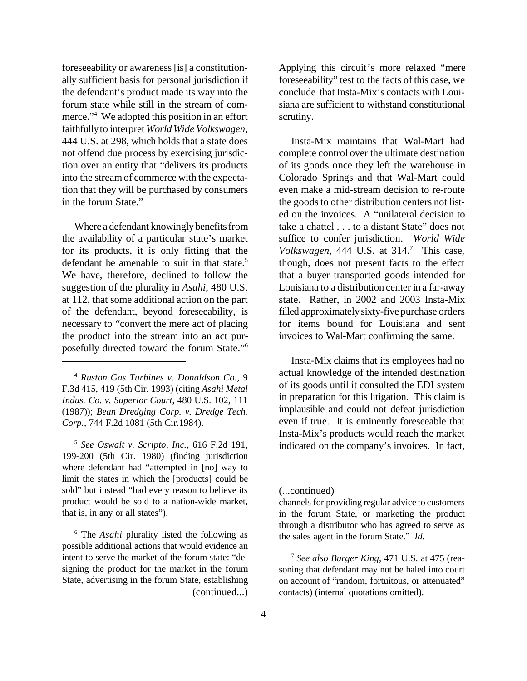foreseeability or awareness [is] a constitutionally sufficient basis for personal jurisdiction if the defendant's product made its way into the forum state while still in the stream of commerce."<sup>4</sup> We adopted this position in an effort faithfullyto interpret *World Wide Volkswagen*, 444 U.S. at 298, which holds that a state does not offend due process by exercising jurisdiction over an entity that "delivers its products into the streamof commerce with the expectation that they will be purchased by consumers in the forum State."

Where a defendant knowingly benefits from the availability of a particular state's market for its products, it is only fitting that the defendant be amenable to suit in that state.<sup>5</sup> We have, therefore, declined to follow the suggestion of the plurality in *Asahi*, 480 U.S. at 112, that some additional action on the part of the defendant, beyond foreseeability, is necessary to "convert the mere act of placing the product into the stream into an act purposefully directed toward the forum State."<sup>6</sup>

<sup>4</sup> *Ruston Gas Turbines v. Donaldson Co.*, 9 F.3d 415, 419 (5th Cir. 1993) (citing *Asahi Metal Indus. Co. v. Superior Court*, 480 U.S. 102, 111 (1987)); *Bean Dredging Corp. v. Dredge Tech. Corp.*, 744 F.2d 1081 (5th Cir.1984).

5 *See Oswalt v. Scripto, Inc.*, 616 F.2d 191, 199-200 (5th Cir. 1980) (finding jurisdiction where defendant had "attempted in [no] way to limit the states in which the [products] could be sold" but instead "had every reason to believe its product would be sold to a nation-wide market, that is, in any or all states").

<sup>6</sup> The *Asahi* plurality listed the following as possible additional actions that would evidence an intent to serve the market of the forum state: "designing the product for the market in the forum State, advertising in the forum State, establishing (continued...)

Applying this circuit's more relaxed "mere foreseeability" test to the facts of this case, we conclude that Insta-Mix's contacts with Louisiana are sufficient to withstand constitutional scrutiny.

Insta-Mix maintains that Wal-Mart had complete control over the ultimate destination of its goods once they left the warehouse in Colorado Springs and that Wal-Mart could even make a mid-stream decision to re-route the goods to other distribution centers not listed on the invoices. A "unilateral decision to take a chattel . . . to a distant State" does not suffice to confer jurisdiction. *World Wide Volkswagen*, 444 U.S. at 314.<sup>7</sup> This case, though, does not present facts to the effect that a buyer transported goods intended for Louisiana to a distribution center in a far-away state. Rather, in 2002 and 2003 Insta-Mix filled approximatelysixty-five purchase orders for items bound for Louisiana and sent invoices to Wal-Mart confirming the same.

Insta-Mix claims that its employees had no actual knowledge of the intended destination of its goods until it consulted the EDI system in preparation for this litigation. This claim is implausible and could not defeat jurisdiction even if true. It is eminently foreseeable that Insta-Mix's products would reach the market indicated on the company's invoices. In fact,

<sup>(...</sup>continued)

channels for providing regular advice to customers in the forum State, or marketing the product through a distributor who has agreed to serve as the sales agent in the forum State." *Id.*

<sup>7</sup> *See also Burger King*, 471 U.S. at 475 (reasoning that defendant may not be haled into court on account of "random, fortuitous, or attenuated" contacts) (internal quotations omitted).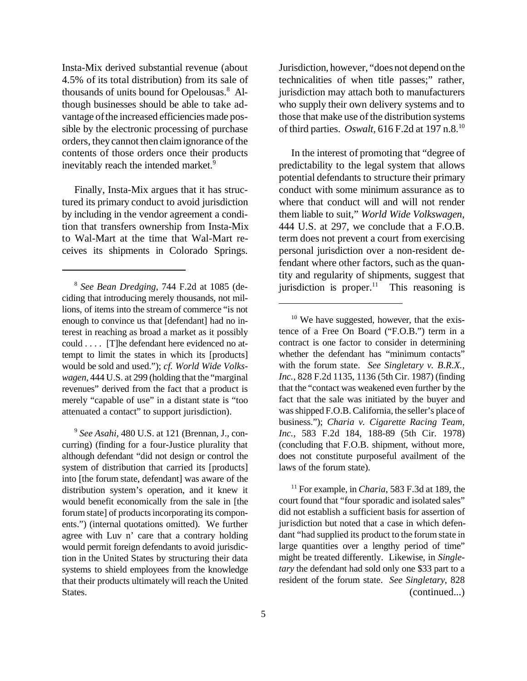Insta-Mix derived substantial revenue (about 4.5% of its total distribution) from its sale of thousands of units bound for Opelousas.<sup>8</sup> Although businesses should be able to take advantage of the increased efficiencies made possible by the electronic processing of purchase orders, they cannot then claim ignorance of the contents of those orders once their products inevitably reach the intended market.<sup>9</sup>

Finally, Insta-Mix argues that it has structured its primary conduct to avoid jurisdiction by including in the vendor agreement a condition that transfers ownership from Insta-Mix to Wal-Mart at the time that Wal-Mart receives its shipments in Colorado Springs.

Jurisdiction, however, "does not depend onthe technicalities of when title passes;" rather, jurisdiction may attach both to manufacturers who supply their own delivery systems and to those that make use of the distribution systems of third parties. *Oswalt*, 616 F.2d at 197 n.8.<sup>10</sup>

In the interest of promoting that "degree of predictability to the legal system that allows potential defendants to structure their primary conduct with some minimum assurance as to where that conduct will and will not render them liable to suit," *World Wide Volkswagen*, 444 U.S. at 297, we conclude that a F.O.B. term does not prevent a court from exercising personal jurisdiction over a non-resident defendant where other factors, such as the quantity and regularity of shipments, suggest that jurisdiction is proper. $11$  This reasoning is <sup>8</sup> See Bean Dredging, 744 F.2d at 1085 (de- jurisdiction is proper.<sup>11</sup> This reasoning is

<sup>11</sup> For example, in *Charia*, 583 F.3d at 189, the court found that "four sporadic and isolated sales" did not establish a sufficient basis for assertion of jurisdiction but noted that a case in which defendant "had supplied its product to the forum state in large quantities over a lengthy period of time" might be treated differently. Likewise, in *Singletary* the defendant had sold only one \$33 part to a resident of the forum state. *See Singletary*, 828 (continued...)

ciding that introducing merely thousands, not millions, of items into the stream of commerce "is not enough to convince us that [defendant] had no interest in reaching as broad a market as it possibly could . . . . [T]he defendant here evidenced no attempt to limit the states in which its [products] would be sold and used."); *cf. World Wide Volkswagen*, 444 U.S. at 299 (holding that the "marginal revenues" derived from the fact that a product is merely "capable of use" in a distant state is "too attenuated a contact" to support jurisdiction).

<sup>9</sup> *See Asahi*, 480 U.S. at 121 (Brennan, J., concurring) (finding for a four-Justice plurality that although defendant "did not design or control the system of distribution that carried its [products] into [the forum state, defendant] was aware of the distribution system's operation, and it knew it would benefit economically from the sale in [the forum state] of products incorporating its components.") (internal quotations omitted). We further agree with Luv n' care that a contrary holding would permit foreign defendants to avoid jurisdiction in the United States by structuring their data systems to shield employees from the knowledge that their products ultimately will reach the United States.

 $10$  We have suggested, however, that the existence of a Free On Board ("F.O.B.") term in a contract is one factor to consider in determining whether the defendant has "minimum contacts" with the forum state. *See Singletary v. B.R.X., Inc.*, 828 F.2d 1135, 1136 (5th Cir. 1987) (finding that the "contact was weakened even further by the fact that the sale was initiated by the buyer and wasshipped F.O.B.California, the seller's place of business."); *Charia v. Cigarette Racing Team, Inc.*, 583 F.2d 184, 188-89 (5th Cir. 1978) (concluding that F.O.B. shipment, without more, does not constitute purposeful availment of the laws of the forum state).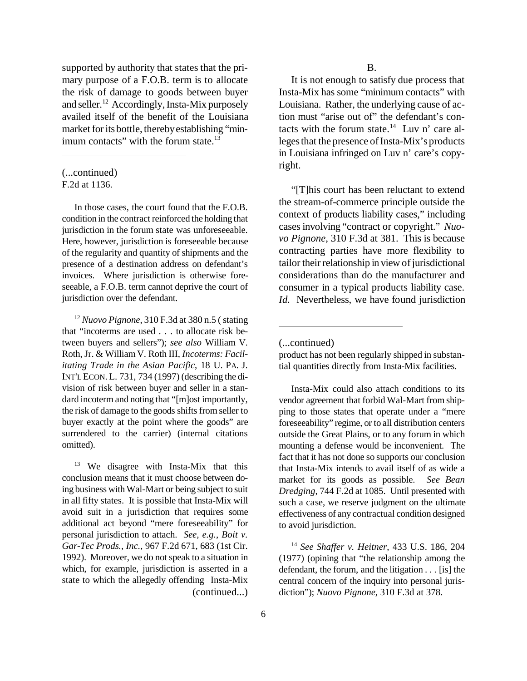supported by authority that states that the primary purpose of a F.O.B. term is to allocate the risk of damage to goods between buyer and seller.<sup>12</sup> Accordingly, Insta-Mix purposely availed itself of the benefit of the Louisiana market for its bottle, thereby establishing "minimum contacts" with the forum state.<sup>13</sup>

F.2d at 1136.

In those cases, the court found that the F.O.B. condition in the contract reinforced the holding that jurisdiction in the forum state was unforeseeable. Here, however, jurisdiction is foreseeable because of the regularity and quantity of shipments and the presence of a destination address on defendant's invoices. Where jurisdiction is otherwise foreseeable, a F.O.B. term cannot deprive the court of jurisdiction over the defendant.

<sup>12</sup> *Nuovo Pignone*, 310 F.3d at 380 n.5 (stating that "incoterms are used . . . to allocate risk between buyers and sellers"); *see also* William V. Roth, Jr. & William V. Roth III, *Incoterms: Facilitating Trade in the Asian Pacific*, 18 U. PA. J. INT'L ECON. L. 731, 734 (1997) (describing the division of risk between buyer and seller in a standard incoterm and noting that "[m]ost importantly, the risk of damage to the goods shifts from seller to buyer exactly at the point where the goods" are surrendered to the carrier) (internal citations omitted).

<sup>13</sup> We disagree with Insta-Mix that this conclusion means that it must choose between doing business withWal-Mart or being subject to suit in all fifty states. It is possible that Insta-Mix will avoid suit in a jurisdiction that requires some additional act beyond "mere foreseeability" for personal jurisdiction to attach. *See, e.g.*, *Boit v. Gar-Tec Prods., Inc.*, 967 F.2d 671, 683 (1st Cir. 1992). Moreover, we do not speak to a situation in which, for example, jurisdiction is asserted in a state to which the allegedly offending Insta-Mix (continued...)

It is not enough to satisfy due process that Insta-Mix has some "minimum contacts" with Louisiana. Rather, the underlying cause of action must "arise out of" the defendant's contacts with the forum state.<sup>14</sup> Luv n' care alleges that the presence of Insta-Mix's products in Louisiana infringed on Luv n' care's copyright.

"[T]his court has been reluctant to extend the stream-of-commerce principle outside the context of products liability cases," including casesinvolving "contract or copyright." *Nuovo Pignone*, 310 F.3d at 381. This is because contracting parties have more flexibility to tailor their relationship in view of jurisdictional considerations than do the manufacturer and consumer in a typical products liability case. *Id.* Nevertheless, we have found jurisdiction

product has not been regularly shipped in substantial quantities directly from Insta-Mix facilities.

Insta-Mix could also attach conditions to its vendor agreement that forbid Wal-Mart from shipping to those states that operate under a "mere foreseeability" regime, or to all distribution centers outside the Great Plains, or to any forum in which mounting a defense would be inconvenient. The fact that it has not done so supports our conclusion that Insta-Mix intends to avail itself of as wide a market for its goods as possible. *See Bean Dredging*, 744 F.2d at 1085. Until presented with such a case, we reserve judgment on the ultimate effectiveness of any contractual condition designed to avoid jurisdiction.

<sup>14</sup> *See Shaffer v. Heitner*, 433 U.S. 186, 204 (1977) (opining that "the relationship among the defendant, the forum, and the litigation . . . [is] the central concern of the inquiry into personal jurisdiction"); *Nuovo Pignone*, 310 F.3d at 378.

<sup>(...</sup>continued)

<sup>(...</sup>continued)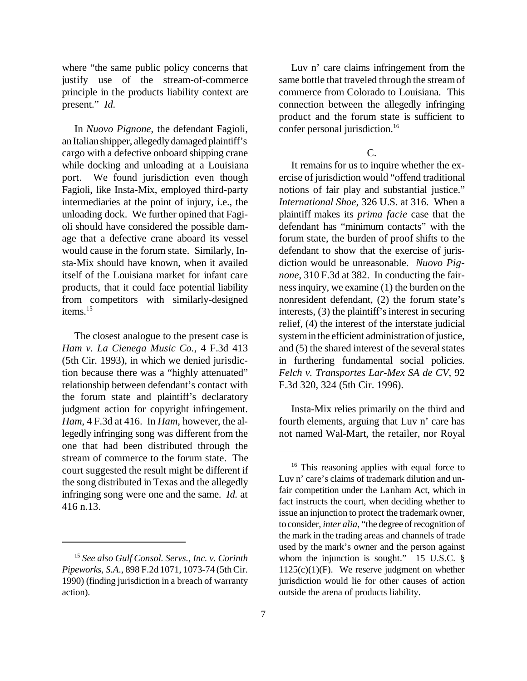where "the same public policy concerns that justify use of the stream-of-commerce principle in the products liability context are present." *Id.* 

In *Nuovo Pignone*, the defendant Fagioli, anItalianshipper, allegedly damaged plaintiff's cargo with a defective onboard shipping crane while docking and unloading at a Louisiana port. We found jurisdiction even though Fagioli, like Insta-Mix, employed third-party intermediaries at the point of injury, i.e., the unloading dock. We further opined that Fagioli should have considered the possible damage that a defective crane aboard its vessel would cause in the forum state. Similarly, Insta-Mix should have known, when it availed itself of the Louisiana market for infant care products, that it could face potential liability from competitors with similarly-designed items.<sup>15</sup>

The closest analogue to the present case is *Ham v. La Cienega Music Co.*, 4 F.3d 413 (5th Cir. 1993), in which we denied jurisdiction because there was a "highly attenuated" relationship between defendant's contact with the forum state and plaintiff's declaratory judgment action for copyright infringement. *Ham*, 4 F.3d at 416. In *Ham*, however, the allegedly infringing song was different from the one that had been distributed through the stream of commerce to the forum state. The court suggested the result might be different if the song distributed in Texas and the allegedly infringing song were one and the same. *Id.* at 416 n.13.

Luv n' care claims infringement from the same bottle that traveled through the streamof commerce from Colorado to Louisiana. This connection between the allegedly infringing product and the forum state is sufficient to confer personal jurisdiction.<sup>16</sup>

## C.

It remains for us to inquire whether the exercise of jurisdiction would "offend traditional notions of fair play and substantial justice." *International Shoe*, 326 U.S. at 316. When a plaintiff makes its *prima facie* case that the defendant has "minimum contacts" with the forum state, the burden of proof shifts to the defendant to show that the exercise of jurisdiction would be unreasonable. *Nuovo Pignone*, 310 F.3d at 382. In conducting the fairnessinquiry, we examine (1) the burden on the nonresident defendant, (2) the forum state's interests,  $(3)$  the plaintiff's interest in securing relief, (4) the interest of the interstate judicial system in the efficient administration of justice, and  $(5)$  the shared interest of the several states in furthering fundamental social policies. *Felch v. Transportes Lar-Mex SA de CV*, 92 F.3d 320, 324 (5th Cir. 1996).

Insta-Mix relies primarily on the third and fourth elements, arguing that Luv n' care has not named Wal-Mart, the retailer, nor Royal

<sup>15</sup> *See also Gulf Consol. Servs., Inc. v. Corinth Pipeworks, S.A*., 898 F.2d 1071, 1073-74 (5thCir. 1990) (finding jurisdiction in a breach of warranty action).

<sup>&</sup>lt;sup>16</sup> This reasoning applies with equal force to Luv n' care's claims of trademark dilution and unfair competition under the Lanham Act, which in fact instructs the court, when deciding whether to issue an injunction to protect the trademark owner, to consider, *inter alia*, "the degree of recognition of the mark in the trading areas and channels of trade used by the mark's owner and the person against whom the injunction is sought." 15 U.S.C. § 1125(c)(1)(F). We reserve judgment on whether jurisdiction would lie for other causes of action outside the arena of products liability.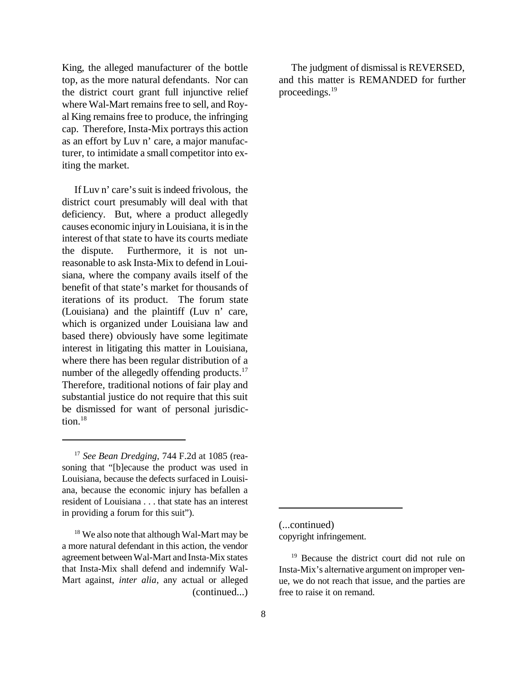King, the alleged manufacturer of the bottle top, as the more natural defendants. Nor can the district court grant full injunctive relief where Wal-Mart remains free to sell, and Royal King remainsfree to produce, the infringing cap. Therefore, Insta-Mix portrays this action as an effort by Luv n' care, a major manufacturer, to intimidate a small competitor into exiting the market.

If Luv n' care's suit is indeed frivolous, the district court presumably will deal with that deficiency. But, where a product allegedly causes economic injury in Louisiana, it is in the interest of that state to have its courts mediate the dispute. Furthermore, it is not unreasonable to ask Insta-Mix to defend in Louisiana, where the company avails itself of the benefit of that state's market for thousands of iterations of its product. The forum state (Louisiana) and the plaintiff (Luv n' care, which is organized under Louisiana law and based there) obviously have some legitimate interest in litigating this matter in Louisiana, where there has been regular distribution of a number of the allegedly offending products.<sup>17</sup> Therefore, traditional notions of fair play and substantial justice do not require that this suit be dismissed for want of personal jurisdiction.<sup>18</sup>

The judgment of dismissal is REVERSED. and this matter is REMANDED for further proceedings.<sup>19</sup>

(...continued) copyright infringement.

<sup>17</sup> *See Bean Dredging*, 744 F.2d at 1085 (reasoning that "[b]ecause the product was used in Louisiana, because the defects surfaced in Louisiana, because the economic injury has befallen a resident of Louisiana . . . that state has an interest in providing a forum for this suit").

<sup>&</sup>lt;sup>18</sup> We also note that although Wal-Mart may be a more natural defendant in this action, the vendor agreement betweenWal-Mart and Insta-Mix states that Insta-Mix shall defend and indemnify Wal-Mart against, *inter alia*, any actual or alleged (continued...)

<sup>&</sup>lt;sup>19</sup> Because the district court did not rule on Insta-Mix's alternative argument on improper venue, we do not reach that issue, and the parties are free to raise it on remand.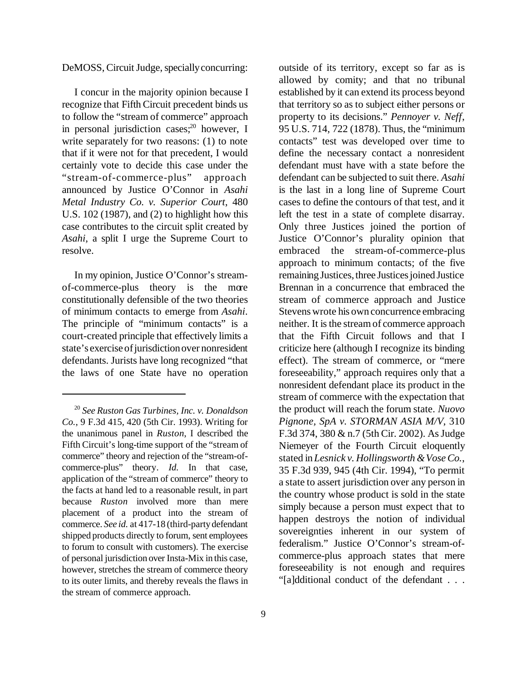DeMOSS, Circuit Judge, specially concurring:

I concur in the majority opinion because I recognize that Fifth Circuit precedent binds us to follow the "stream of commerce" approach in personal jurisdiction cases;<sup>20</sup> however, I write separately for two reasons: (1) to note that if it were not for that precedent, I would certainly vote to decide this case under the "stream-of-commerce-plus" approach announced by Justice O'Connor in *Asahi Metal Industry Co. v. Superior Court*, 480 U.S. 102 (1987), and (2) to highlight how this case contributes to the circuit split created by *Asahi*, a split I urge the Supreme Court to resolve.

In my opinion, Justice O'Connor's streamof-commerce-plus theory is the more constitutionally defensible of the two theories of minimum contacts to emerge from *Asahi*. The principle of "minimum contacts" is a court-created principle that effectively limits a state's exercise of jurisdiction over nonresident defendants. Jurists have long recognized "that the laws of one State have no operation outside of its territory, except so far as is allowed by comity; and that no tribunal established by it can extend its process beyond that territory so as to subject either persons or property to its decisions." *Pennoyer v. Neff*, 95 U.S. 714, 722 (1878). Thus, the "minimum contacts" test was developed over time to define the necessary contact a nonresident defendant must have with a state before the defendant can be subjected to suit there. *Asahi* is the last in a long line of Supreme Court cases to define the contours of that test, and it left the test in a state of complete disarray. Only three Justices joined the portion of Justice O'Connor's plurality opinion that embraced the stream-of-commerce-plus approach to minimum contacts; of the five remaining Justices, three Justices joined Justice Brennan in a concurrence that embraced the stream of commerce approach and Justice Stevens wrote his own concurrence embracing neither. It is the stream of commerce approach that the Fifth Circuit follows and that I criticize here (although I recognize its binding effect). The stream of commerce, or "mere foreseeability," approach requires only that a nonresident defendant place its product in the stream of commerce with the expectation that the product will reach the forum state. *Nuovo Pignone, SpA v. STORMAN ASIA M/V*, 310 F.3d 374, 380 & n.7 (5th Cir. 2002). As Judge Niemeyer of the Fourth Circuit eloquently stated in *Lesnick v. Hollingsworth &VoseCo.*, 35 F.3d 939, 945 (4th Cir. 1994), "To permit a state to assert jurisdiction over any person in the country whose product is sold in the state simply because a person must expect that to happen destroys the notion of individual sovereignties inherent in our system of federalism." Justice O'Connor's stream-ofcommerce-plus approach states that mere foreseeability is not enough and requires "[a]dditional conduct of the defendant . . .

<sup>20</sup> *See Ruston Gas Turbines, Inc. v. Donaldson Co.*, 9 F.3d 415, 420 (5th Cir. 1993). Writing for the unanimous panel in *Ruston*, I described the Fifth Circuit's long-time support of the "stream of commerce" theory and rejection of the "stream-ofcommerce-plus" theory. *Id.* In that case, application of the "stream of commerce" theory to the facts at hand led to a reasonable result, in part because *Ruston* involved more than mere placement of a product into the stream of commerce. *See id.* at 417-18 (third-party defendant shipped products directly to forum, sent employees to forum to consult with customers). The exercise of personal jurisdiction over Insta-Mix in this case, however, stretches the stream of commerce theory to its outer limits, and thereby reveals the flaws in the stream of commerce approach.